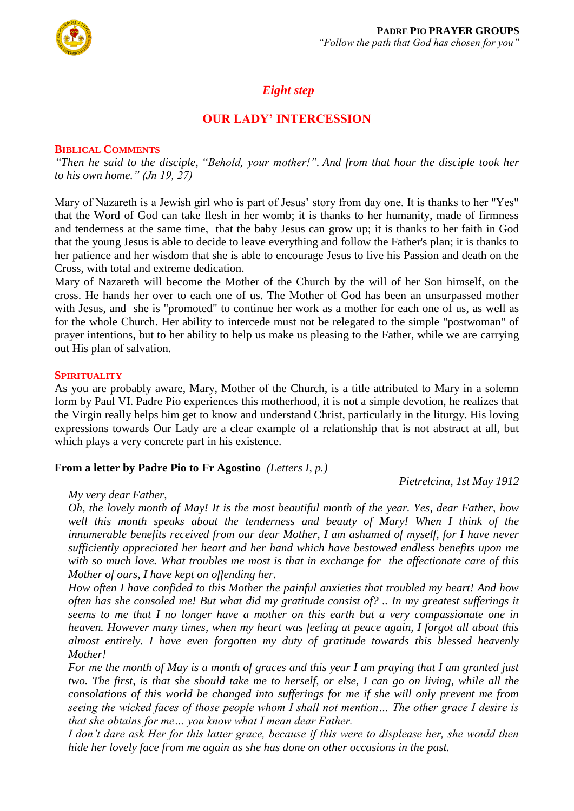

# *Eight step*

## **OUR LADY' INTERCESSION**

#### **BIBLICAL COMMENTS**

*"Then he said to the disciple, "Behold, your mother!". And from that hour the disciple took her to his own home." (Jn 19, 27)*

Mary of Nazareth is a Jewish girl who is part of Jesus' story from day one. It is thanks to her "Yes" that the Word of God can take flesh in her womb; it is thanks to her humanity, made of firmness and tenderness at the same time, that the baby Jesus can grow up; it is thanks to her faith in God that the young Jesus is able to decide to leave everything and follow the Father's plan; it is thanks to her patience and her wisdom that she is able to encourage Jesus to live his Passion and death on the Cross, with total and extreme dedication.

Mary of Nazareth will become the Mother of the Church by the will of her Son himself, on the cross. He hands her over to each one of us. The Mother of God has been an unsurpassed mother with Jesus, and she is "promoted" to continue her work as a mother for each one of us, as well as for the whole Church. Her ability to intercede must not be relegated to the simple "postwoman" of prayer intentions, but to her ability to help us make us pleasing to the Father, while we are carrying out His plan of salvation.

#### **SPIRITUALITY**

As you are probably aware, Mary, Mother of the Church, is a title attributed to Mary in a solemn form by Paul VI. Padre Pio experiences this motherhood, it is not a simple devotion, he realizes that the Virgin really helps him get to know and understand Christ, particularly in the liturgy. His loving expressions towards Our Lady are a clear example of a relationship that is not abstract at all, but which plays a very concrete part in his existence.

#### **From a letter by Padre Pio to Fr Agostino** *(Letters I, p.)*

*Pietrelcina, 1st May 1912* 

#### *My very dear Father,*

*Oh, the lovely month of May! It is the most beautiful month of the year. Yes, dear Father, how*  well this month speaks about the tenderness and beauty of Mary! When I think of the *innumerable benefits received from our dear Mother, I am ashamed of myself, for I have never sufficiently appreciated her heart and her hand which have bestowed endless benefits upon me with so much love. What troubles me most is that in exchange for the affectionate care of this Mother of ours, I have kept on offending her.* 

*How often I have confided to this Mother the painful anxieties that troubled my heart! And how often has she consoled me! But what did my gratitude consist of? .. In my greatest sufferings it seems to me that I no longer have a mother on this earth but a very compassionate one in heaven. However many times, when my heart was feeling at peace again, I forgot all about this almost entirely. I have even forgotten my duty of gratitude towards this blessed heavenly Mother!* 

*For me the month of May is a month of graces and this year I am praying that I am granted just two. The first, is that she should take me to herself, or else, I can go on living, while all the consolations of this world be changed into sufferings for me if she will only prevent me from seeing the wicked faces of those people whom I shall not mention… The other grace I desire is that she obtains for me… you know what I mean dear Father.*

*I don't dare ask Her for this latter grace, because if this were to displease her, she would then hide her lovely face from me again as she has done on other occasions in the past.*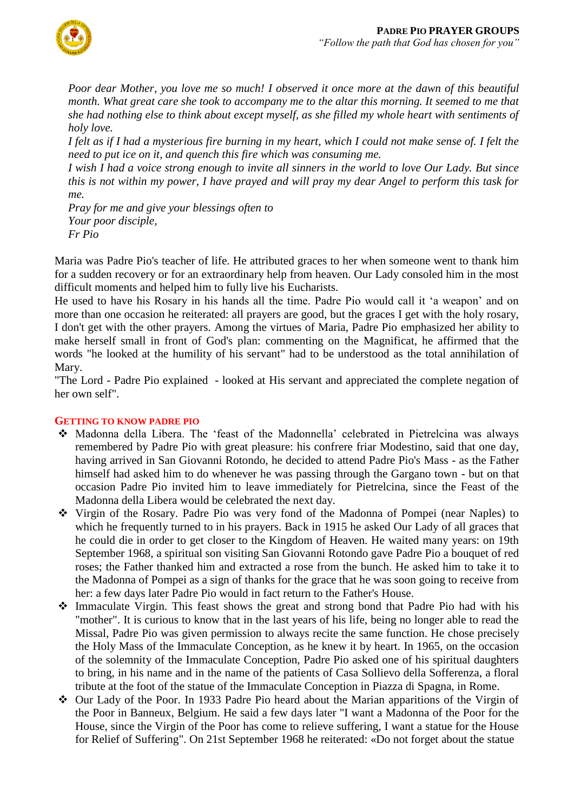

*Poor dear Mother, you love me so much! I observed it once more at the dawn of this beautiful month. What great care she took to accompany me to the altar this morning. It seemed to me that she had nothing else to think about except myself, as she filled my whole heart with sentiments of holy love.* 

*I felt as if I had a mysterious fire burning in my heart, which I could not make sense of. I felt the need to put ice on it, and quench this fire which was consuming me.* 

*I wish I had a voice strong enough to invite all sinners in the world to love Our Lady. But since this is not within my power, I have prayed and will pray my dear Angel to perform this task for me.* 

*Pray for me and give your blessings often to Your poor disciple, Fr Pio* 

Maria was Padre Pio's teacher of life. He attributed graces to her when someone went to thank him for a sudden recovery or for an extraordinary help from heaven. Our Lady consoled him in the most difficult moments and helped him to fully live his Eucharists.

He used to have his Rosary in his hands all the time. Padre Pio would call it 'a weapon' and on more than one occasion he reiterated: all prayers are good, but the graces I get with the holy rosary, I don't get with the other prayers. Among the virtues of Maria, Padre Pio emphasized her ability to make herself small in front of God's plan: commenting on the Magnificat, he affirmed that the words "he looked at the humility of his servant" had to be understood as the total annihilation of Mary.

"The Lord - Padre Pio explained - looked at His servant and appreciated the complete negation of her own self".

### **GETTING TO KNOW PADRE PIO**

- Madonna della Libera. The 'feast of the Madonnella' celebrated in Pietrelcina was always remembered by Padre Pio with great pleasure: his confrere friar Modestino, said that one day, having arrived in San Giovanni Rotondo, he decided to attend Padre Pio's Mass - as the Father himself had asked him to do whenever he was passing through the Gargano town - but on that occasion Padre Pio invited him to leave immediately for Pietrelcina, since the Feast of the Madonna della Libera would be celebrated the next day.
- Virgin of the Rosary. Padre Pio was very fond of the Madonna of Pompei (near Naples) to which he frequently turned to in his prayers. Back in 1915 he asked Our Lady of all graces that he could die in order to get closer to the Kingdom of Heaven. He waited many years: on 19th September 1968, a spiritual son visiting San Giovanni Rotondo gave Padre Pio a bouquet of red roses; the Father thanked him and extracted a rose from the bunch. He asked him to take it to the Madonna of Pompei as a sign of thanks for the grace that he was soon going to receive from her: a few days later Padre Pio would in fact return to the Father's House.
- Immaculate Virgin. This feast shows the great and strong bond that Padre Pio had with his "mother". It is curious to know that in the last years of his life, being no longer able to read the Missal, Padre Pio was given permission to always recite the same function. He chose precisely the Holy Mass of the Immaculate Conception, as he knew it by heart. In 1965, on the occasion of the solemnity of the Immaculate Conception, Padre Pio asked one of his spiritual daughters to bring, in his name and in the name of the patients of Casa Sollievo della Sofferenza, a floral tribute at the foot of the statue of the Immaculate Conception in Piazza di Spagna, in Rome.
- Our Lady of the Poor. In 1933 Padre Pio heard about the Marian apparitions of the Virgin of the Poor in Banneux, Belgium. He said a few days later "I want a Madonna of the Poor for the House, since the Virgin of the Poor has come to relieve suffering, I want a statue for the House for Relief of Suffering". On 21st September 1968 he reiterated: «Do not forget about the statue